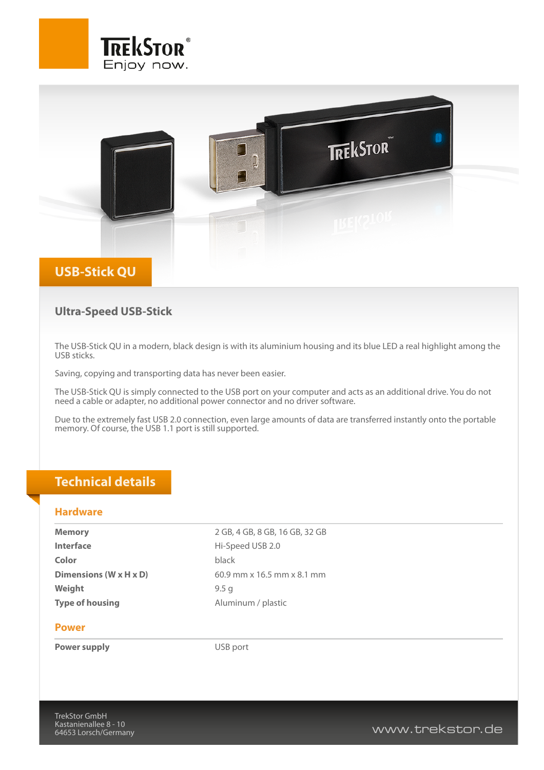



### **Ultra-Speed USB-Stick**

The USB-Stick QU in a modern, black design is with its aluminium housing and its blue LED a real highlight among the USB sticks.

Saving, copying and transporting data has never been easier.

The USB-Stick QU is simply connected to the USB port on your computer and acts as an additional drive. You do not need a cable or adapter, no additional power connector and no driver software.

Due to the extremely fast USB 2.0 connection, even large amounts of data are transferred instantly onto the portable memory. Of course, the USB 1.1 port is still supported.

## **Technical details**

#### **Hardware**

**Memory** 2 GB, 4 GB, 8 GB, 16 GB, 32 GB **Interface** Hi-Speed USB 2.0 **Color** black **Weight** 9.5 g **Type of housing** Aluminum / plastic

**Dimensions (W x H x D)** 60.9 mm x 16.5 mm x 8.1 mm

#### **Power**

**Power supply** DSB port

www.trekstor.de